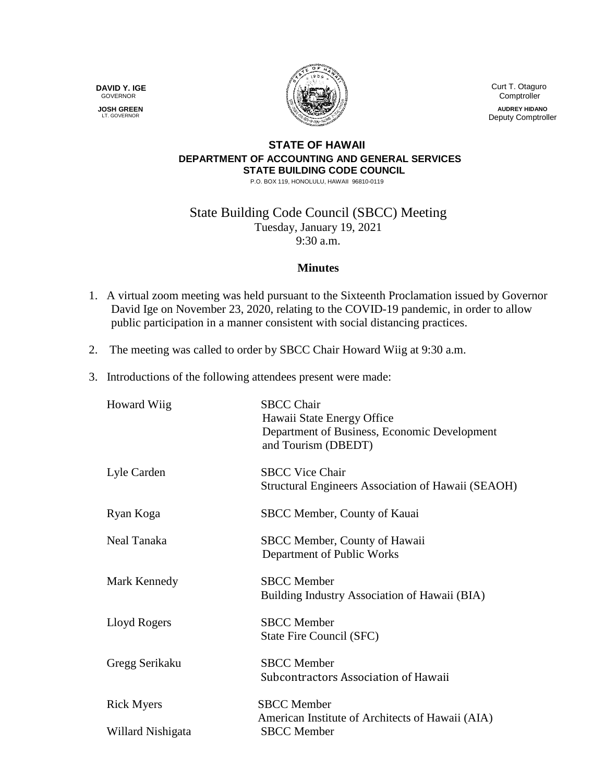**DAVID Y. IGE** GOVERNOR

 **JOSH GREEN** LT. GOVERNOR



 Curt T. Otaguro **Comptroller** 

**AUDREY HIDANO** Deputy Comptroller

## **STATE OF HAWAII DEPARTMENT OF ACCOUNTING AND GENERAL SERVICES STATE BUILDING CODE COUNCIL**

P.O. BOX 119, HONOLULU, HAWAII 96810-0119

State Building Code Council (SBCC) Meeting Tuesday, January 19, 2021 9:30 a.m.

## **Minutes**

- 1. A virtual zoom meeting was held pursuant to the Sixteenth Proclamation issued by Governor David Ige on November 23, 2020, relating to the COVID-19 pandemic, in order to allow public participation in a manner consistent with social distancing practices.
- 2. The meeting was called to order by SBCC Chair Howard Wiig at 9:30 a.m.
- 3. Introductions of the following attendees present were made:

| <b>Howard Wiig</b> | <b>SBCC Chair</b><br>Hawaii State Energy Office<br>Department of Business, Economic Development<br>and Tourism (DBEDT) |
|--------------------|------------------------------------------------------------------------------------------------------------------------|
| Lyle Carden        | <b>SBCC Vice Chair</b><br>Structural Engineers Association of Hawaii (SEAOH)                                           |
| Ryan Koga          | SBCC Member, County of Kauai                                                                                           |
| Neal Tanaka        | SBCC Member, County of Hawaii<br>Department of Public Works                                                            |
| Mark Kennedy       | <b>SBCC</b> Member<br>Building Industry Association of Hawaii (BIA)                                                    |
| Lloyd Rogers       | <b>SBCC</b> Member<br>State Fire Council (SFC)                                                                         |
| Gregg Serikaku     | <b>SBCC</b> Member<br>Subcontractors Association of Hawaii                                                             |
| <b>Rick Myers</b>  | <b>SBCC</b> Member                                                                                                     |
| Willard Nishigata  | American Institute of Architects of Hawaii (AIA)<br><b>SBCC</b> Member                                                 |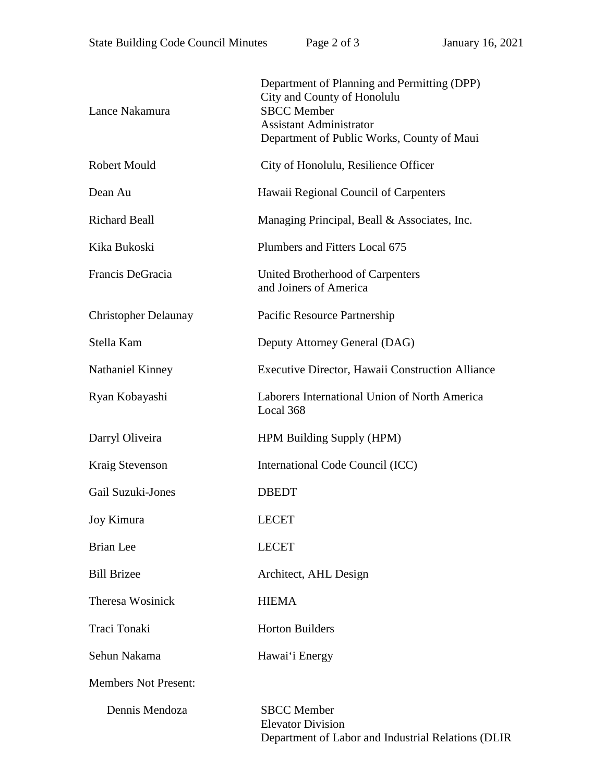| Lance Nakamura              | Department of Planning and Permitting (DPP)<br>City and County of Honolulu<br><b>SBCC</b> Member<br><b>Assistant Administrator</b><br>Department of Public Works, County of Maui |
|-----------------------------|----------------------------------------------------------------------------------------------------------------------------------------------------------------------------------|
| <b>Robert Mould</b>         | City of Honolulu, Resilience Officer                                                                                                                                             |
| Dean Au                     | Hawaii Regional Council of Carpenters                                                                                                                                            |
| <b>Richard Beall</b>        | Managing Principal, Beall & Associates, Inc.                                                                                                                                     |
| Kika Bukoski                | Plumbers and Fitters Local 675                                                                                                                                                   |
| Francis DeGracia            | United Brotherhood of Carpenters<br>and Joiners of America                                                                                                                       |
| <b>Christopher Delaunay</b> | Pacific Resource Partnership                                                                                                                                                     |
| Stella Kam                  | Deputy Attorney General (DAG)                                                                                                                                                    |
| Nathaniel Kinney            | Executive Director, Hawaii Construction Alliance                                                                                                                                 |
| Ryan Kobayashi              | Laborers International Union of North America<br>Local 368                                                                                                                       |
| Darryl Oliveira             | HPM Building Supply (HPM)                                                                                                                                                        |
| Kraig Stevenson             | International Code Council (ICC)                                                                                                                                                 |
| Gail Suzuki-Jones           | <b>DBEDT</b>                                                                                                                                                                     |
| Joy Kimura                  | <b>LECET</b>                                                                                                                                                                     |
| <b>Brian</b> Lee            | <b>LECET</b>                                                                                                                                                                     |
| <b>Bill Brizee</b>          | Architect, AHL Design                                                                                                                                                            |
| <b>Theresa Wosinick</b>     | <b>HIEMA</b>                                                                                                                                                                     |
| Traci Tonaki                | <b>Horton Builders</b>                                                                                                                                                           |
| Sehun Nakama                | Hawai'i Energy                                                                                                                                                                   |
| <b>Members Not Present:</b> |                                                                                                                                                                                  |
| Dennis Mendoza              | <b>SBCC</b> Member<br><b>Elevator Division</b><br>Department of Labor and Industrial Relations (DLIR                                                                             |